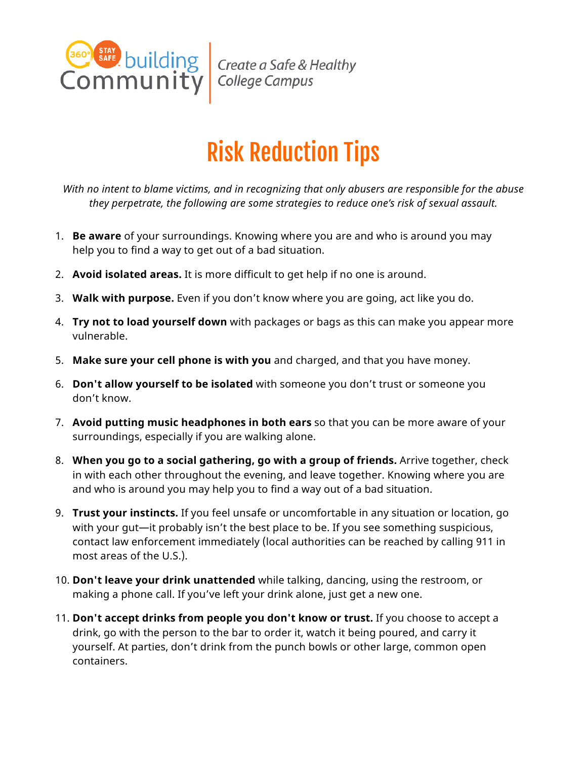

Create a Safe & Healthy<br>College Campus

## Risk Reduction Tips

*With no intent to blame victims, and in recognizing that only abusers are responsible for the abuse they perpetrate, the following are some strategies to reduce one's risk of sexual assault.*

- 1. **Be aware** of your surroundings. Knowing where you are and who is around you may help you to find a way to get out of a bad situation.
- 2. **Avoid isolated areas.** It is more difficult to get help if no one is around.
- 3. **Walk with purpose.** Even if you don't know where you are going, act like you do.
- 4. **Try not to load yourself down** with packages or bags as this can make you appear more vulnerable.
- 5. **Make sure your cell phone is with you** and charged, and that you have money.
- 6. **Don't allow yourself to be isolated** with someone you don't trust or someone you don't know.
- 7. **Avoid putting music headphones in both ears** so that you can be more aware of your surroundings, especially if you are walking alone.
- 8. **When you go to a social gathering, go with a group of friends.** Arrive together, check in with each other throughout the evening, and leave together. Knowing where you are and who is around you may help you to find a way out of a bad situation.
- 9. **Trust your instincts.** If you feel unsafe or uncomfortable in any situation or location, go with your gut—it probably isn't the best place to be. If you see something suspicious, contact law enforcement immediately (local authorities can be reached by calling 911 in most areas of the U.S.).
- 10. **Don't leave your drink unattended** while talking, dancing, using the restroom, or making a phone call. If you've left your drink alone, just get a new one.
- 11. **Don't accept drinks from people you don't know or trust.** If you choose to accept a drink, go with the person to the bar to order it, watch it being poured, and carry it yourself. At parties, don't drink from the punch bowls or other large, common open containers.